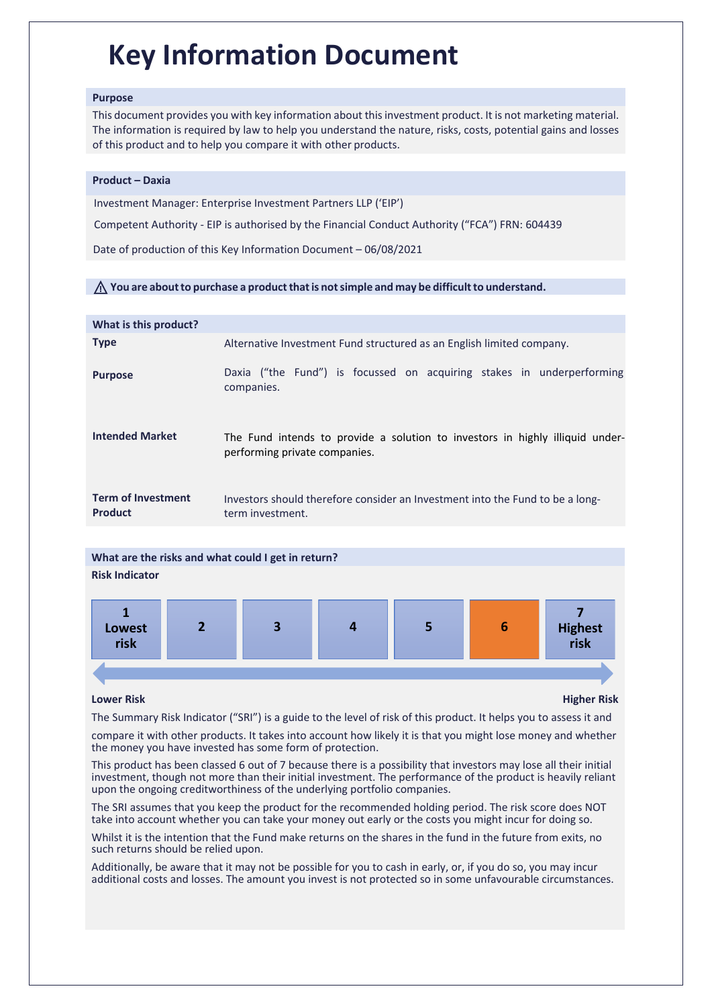# **Key Information Document**

# **Purpose**

This document provides you with key information about thisinvestment product. It is not marketing material. The information is required by law to help you understand the nature, risks, costs, potential gains and losses of this product and to help you compare it with other products.

# **Product – Daxia**

Investment Manager: Enterprise Investment [Partners LLP \('EIP'\)](http://www.kinfundservices.com/)

Competent Authority - EIP is authorised by the Financial Conduct Authority ("FCA") FRN: 604439

Date of production of this Key Information Document – 06/08/2021

# ⚠ **You are aboutto purchase a productthat is notsimple and may be difficult to understand.**

| What is this product?                       |                                                                                                                |
|---------------------------------------------|----------------------------------------------------------------------------------------------------------------|
| <b>Type</b>                                 | Alternative Investment Fund structured as an English limited company.                                          |
| <b>Purpose</b>                              | Daxia ("the Fund") is focussed on acquiring stakes in underperforming<br>companies.                            |
| <b>Intended Market</b>                      | The Fund intends to provide a solution to investors in highly illiquid under-<br>performing private companies. |
| <b>Term of Investment</b><br><b>Product</b> | Investors should therefore consider an Investment into the Fund to be a long-<br>term investment.              |



**Lower Risk Higher Risk**

The Summary Risk Indicator ("SRI") is a guide to the level of risk of this product. It helps you to assess it and

compare it with other products. It takes into account how likely it is that you might lose money and whether the money you have invested has some form of protection.

This product has been classed 6 out of 7 because there is a possibility that investors may lose all their initial investment, though not more than their initial investment. The performance of the product is heavily reliant upon the ongoing creditworthiness of the underlying portfolio companies.

The SRI assumes that you keep the product for the recommended holding period. The risk score does NOT take into account whether you can take your money out early or the costs you might incur for doing so.

Whilst it is the intention that the Fund make returns on the shares in the fund in the future from exits, no such returns should be relied upon.

Additionally, be aware that it may not be possible for you to cash in early, or, if you do so, you may incur additional costs and losses. The amount you invest is not protected so in some unfavourable circumstances.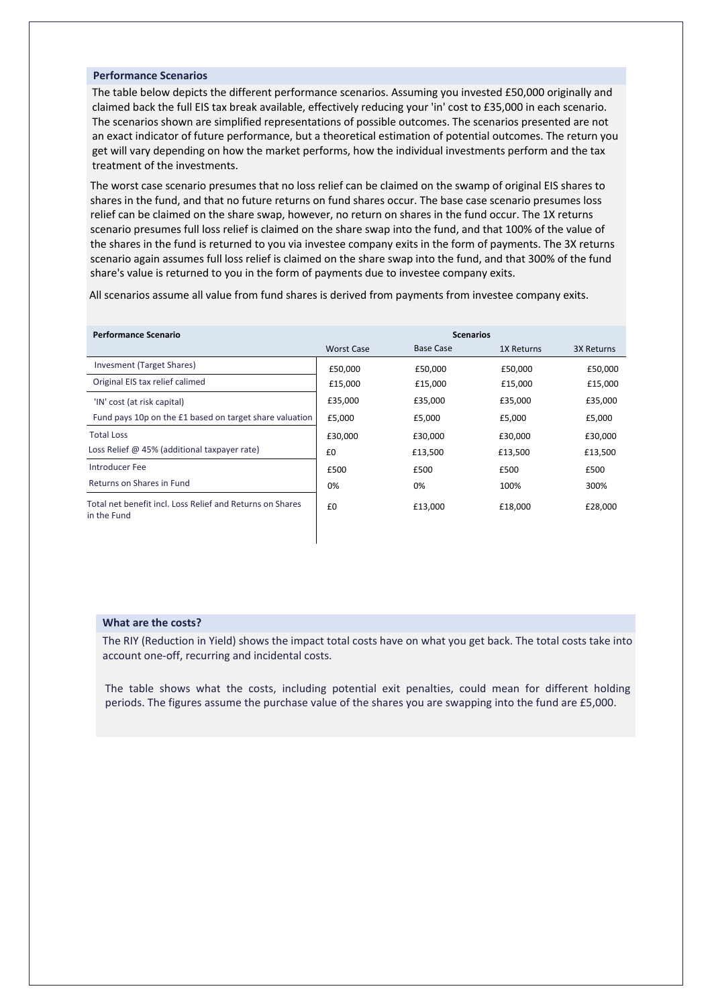# **Performance Scenarios**

The table below depicts the different performance scenarios. Assuming you invested £50,000 originally and claimed back the full EIS tax break available, effectively reducing your 'in' cost to £35,000 in each scenario. The scenarios shown are simplified representations of possible outcomes. The scenarios presented are not an exact indicator of future performance, but a theoretical estimation of potential outcomes. The return you get will vary depending on how the market performs, how the individual investments perform and the tax treatment of the investments.

The worst case scenario presumes that no loss relief can be claimed on the swamp of original EIS shares to shares in the fund, and that no future returns on fund shares occur. The base case scenario presumes loss relief can be claimed on the share swap, however, no return on shares in the fund occur. The 1X returns scenario presumes full loss relief is claimed on the share swap into the fund, and that 100% of the value of the shares in the fund is returned to you via investee company exits in the form of payments. The 3X returns scenario again assumes full loss relief is claimed on the share swap into the fund, and that 300% of the fund share's value is returned to you in the form of payments due to investee company exits.

All scenarios assume all value from fund shares is derived from payments from investee company exits.

| <b>Performance Scenario</b>                                              | <b>Scenarios</b>  |                  |            |            |
|--------------------------------------------------------------------------|-------------------|------------------|------------|------------|
|                                                                          | <b>Worst Case</b> | <b>Base Case</b> | 1X Returns | 3X Returns |
| Invesment (Target Shares)                                                | £50,000           | £50,000          | £50,000    | £50,000    |
| Original EIS tax relief calimed                                          | £15,000           | £15,000          | £15,000    | £15,000    |
| 'IN' cost (at risk capital)                                              | £35,000           | £35,000          | £35,000    | £35,000    |
| Fund pays 10p on the £1 based on target share valuation                  | £5,000            | £5,000           | £5,000     | £5,000     |
| <b>Total Loss</b>                                                        | £30,000           | £30,000          | £30,000    | £30,000    |
| Loss Relief @ 45% (additional taxpayer rate)                             | £0                | £13,500          | £13,500    | £13,500    |
| Introducer Fee                                                           | £500              | £500             | £500       | £500       |
| Returns on Shares in Fund                                                | 0%                | 0%               | 100%       | 300%       |
| Total net benefit incl. Loss Relief and Returns on Shares<br>in the Fund | £0                | £13,000          | £18,000    | £28,000    |

# **What are the costs?**

The RIY (Reduction in Yield) shows the impact total costs have on what you get back. The total costs take into account one-off, recurring and incidental costs.

The table shows what the costs, including potential exit penalties, could mean for different holding periods. The figures assume the purchase value of the shares you are swapping into the fund are £5,000.